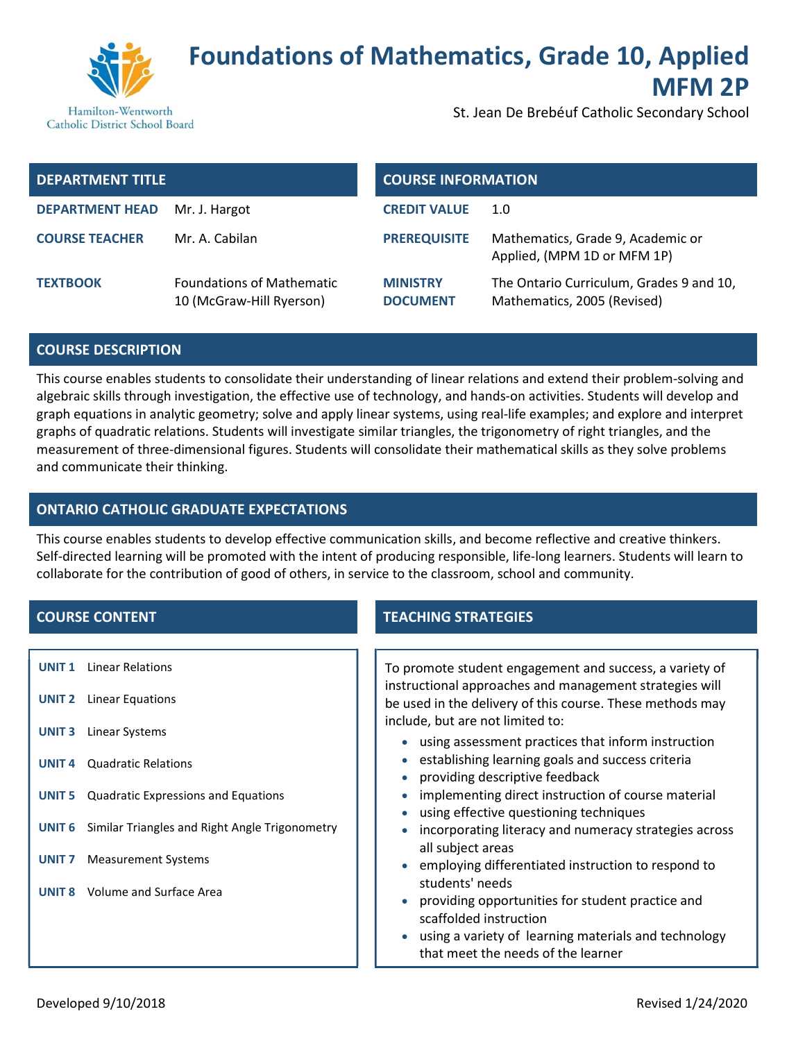

## Foundations of Mathematics, Grade 10, Applied MFM 2P

Hamilton-Wentworth Catholic District School Board St. Jean De Brebéuf Catholic Secondary School

| <b>DEPARTMENT TITLE</b> |                                                              | <b>COURSE INFORMATION</b>          |                                                                         |
|-------------------------|--------------------------------------------------------------|------------------------------------|-------------------------------------------------------------------------|
| <b>DEPARTMENT HEAD</b>  | Mr. J. Hargot                                                | <b>CREDIT VALUE</b>                | 1.0                                                                     |
| <b>COURSE TEACHER</b>   | Mr. A. Cabilan                                               | <b>PREREQUISITE</b>                | Mathematics, Grade 9, Academic or<br>Applied, (MPM 1D or MFM 1P)        |
| <b>TEXTBOOK</b>         | <b>Foundations of Mathematic</b><br>10 (McGraw-Hill Ryerson) | <b>MINISTRY</b><br><b>DOCUMENT</b> | The Ontario Curriculum, Grades 9 and 10,<br>Mathematics, 2005 (Revised) |

#### COURSE DESCRIPTION

This course enables students to consolidate their understanding of linear relations and extend their problem-solving and algebraic skills through investigation, the effective use of technology, and hands-on activities. Students will develop and graph equations in analytic geometry; solve and apply linear systems, using real-life examples; and explore and interpret graphs of quadratic relations. Students will investigate similar triangles, the trigonometry of right triangles, and the measurement of three-dimensional figures. Students will consolidate their mathematical skills as they solve problems and communicate their thinking.

## ONTARIO CATHOLIC GRADUATE EXPECTATIONS

This course enables students to develop effective communication skills, and become reflective and creative thinkers. Self-directed learning will be promoted with the intent of producing responsible, life-long learners. Students will learn to collaborate for the contribution of good of others, in service to the classroom, school and community.

- UNIT 1 Linear Relations
- UNIT 2 Linear Equations
- UNIT 3 Linear Systems
- UNIT 4 Quadratic Relations
- UNIT 5 Quadratic Expressions and Equations
- UNIT 6 Similar Triangles and Right Angle Trigonometry
- UNIT 7 Measurement Systems
- UNIT 8 Volume and Surface Area

## **COURSE CONTENT TEACHING STRATEGIES**

To promote student engagement and success, a variety of instructional approaches and management strategies will be used in the delivery of this course. These methods may include, but are not limited to:

- using assessment practices that inform instruction
- establishing learning goals and success criteria
- providing descriptive feedback
- implementing direct instruction of course material
- using effective questioning techniques
- incorporating literacy and numeracy strategies across all subject areas
- employing differentiated instruction to respond to students' needs
- providing opportunities for student practice and scaffolded instruction
- using a variety of learning materials and technology that meet the needs of the learner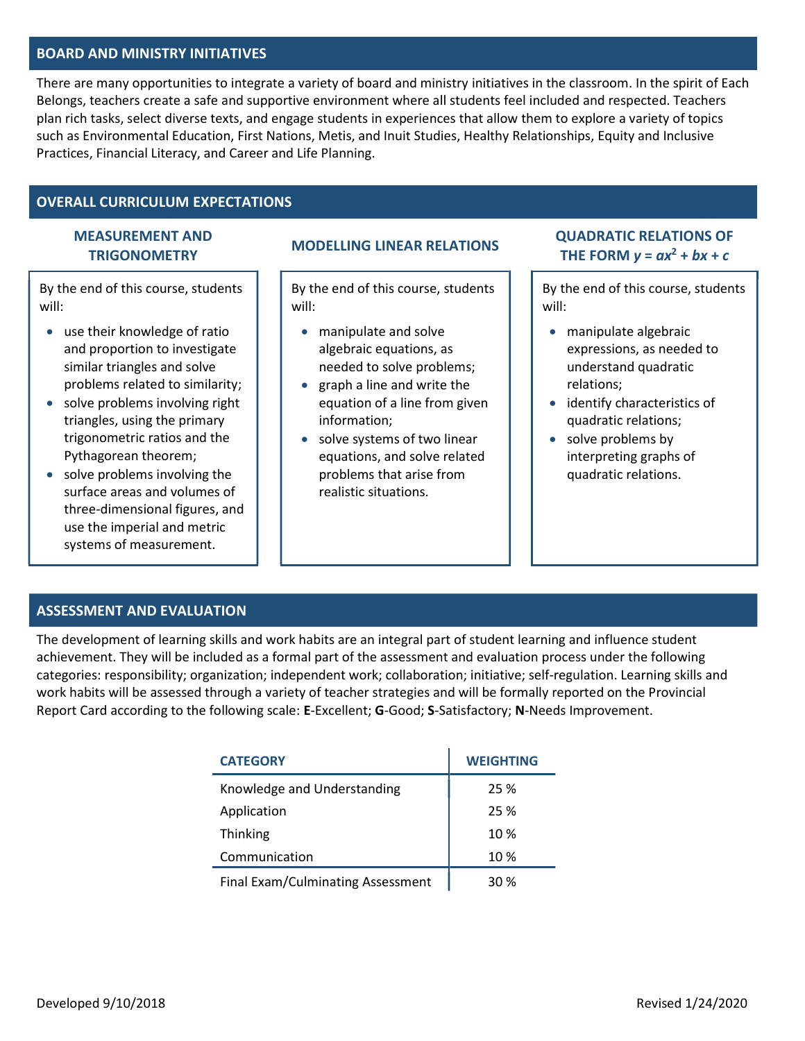## BOARD AND MINISTRY INITIATIVES

There are many opportunities to integrate a variety of board and ministry initiatives in the classroom. In the spirit of Each Belongs, teachers create a safe and supportive environment where all students feel included and respected. Teachers plan rich tasks, select diverse texts, and engage students in experiences that allow them to explore a variety of topics such as Environmental Education, First Nations, Metis, and Inuit Studies, Healthy Relationships, Equity and Inclusive Practices, Financial Literacy, and Career and Life Planning.

#### OVERALL CURRICULUM EXPECTATIONS

# MEASUREMENT AND

By the end of this course, students will:

- use their knowledge of ratio and proportion to investigate similar triangles and solve problems related to similarity;
- solve problems involving right triangles, using the primary trigonometric ratios and the Pythagorean theorem;
- solve problems involving the surface areas and volumes of three-dimensional figures, and use the imperial and metric systems of measurement.

By the end of this course, students will:

- manipulate and solve algebraic equations, as needed to solve problems;
- graph a line and write the equation of a line from given information;
- solve systems of two linear equations, and solve related problems that arise from realistic situations.

EASUREMENT AND MODELLING LINEAR RELATIONS<br>TRIGONOMETRY THE FORM  $v = ax^2 + bx + c$ THE FORM  $y = ax^2 + bx + c$ 

> By the end of this course, students will:

- manipulate algebraic expressions, as needed to understand quadratic relations;
- identify characteristics of quadratic relations;
- solve problems by interpreting graphs of quadratic relations.

## ASSESSMENT AND EVALUATION

The development of learning skills and work habits are an integral part of student learning and influence student achievement. They will be included as a formal part of the assessment and evaluation process under the following categories: responsibility; organization; independent work; collaboration; initiative; self-regulation. Learning skills and work habits will be assessed through a variety of teacher strategies and will be formally reported on the Provincial Report Card according to the following scale: E-Excellent; G-Good; S-Satisfactory; N-Needs Improvement.

| <b>CATEGORY</b>                   | <b>WEIGHTING</b> |
|-----------------------------------|------------------|
| Knowledge and Understanding       | 25 %             |
| Application                       | 25 %             |
| Thinking                          | 10 %             |
| Communication                     | 10 %             |
| Final Exam/Culminating Assessment | 30%              |